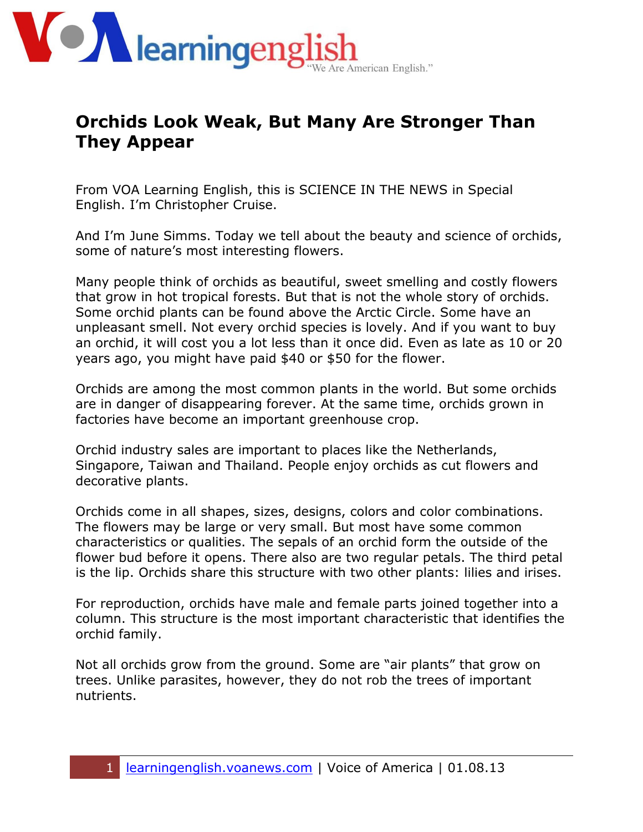

## **Orchids Look Weak, But Many Are Stronger Than They Appear**

From VOA Learning English, this is SCIENCE IN THE NEWS in Special English. I'm Christopher Cruise.

And I'm June Simms. Today we tell about the beauty and science of orchids, some of nature's most interesting flowers.

Many people think of orchids as beautiful, sweet smelling and costly flowers that grow in hot tropical forests. But that is not the whole story of orchids. Some orchid plants can be found above the Arctic Circle. Some have an unpleasant smell. Not every orchid species is lovely. And if you want to buy an orchid, it will cost you a lot less than it once did. Even as late as 10 or 20 years ago, you might have paid \$40 or \$50 for the flower.

Orchids are among the most common plants in the world. But some orchids are in danger of disappearing forever. At the same time, orchids grown in factories have become an important greenhouse crop.

Orchid industry sales are important to places like the Netherlands, Singapore, Taiwan and Thailand. People enjoy orchids as cut flowers and decorative plants.

Orchids come in all shapes, sizes, designs, colors and color combinations. The flowers may be large or very small. But most have some common characteristics or qualities. The sepals of an orchid form the outside of the flower bud before it opens. There also are two regular petals. The third petal is the lip. Orchids share this structure with two other plants: lilies and irises.

For reproduction, orchids have male and female parts joined together into a column. This structure is the most important characteristic that identifies the orchid family.

Not all orchids grow from the ground. Some are "air plants" that grow on trees. Unlike parasites, however, they do not rob the trees of important nutrients.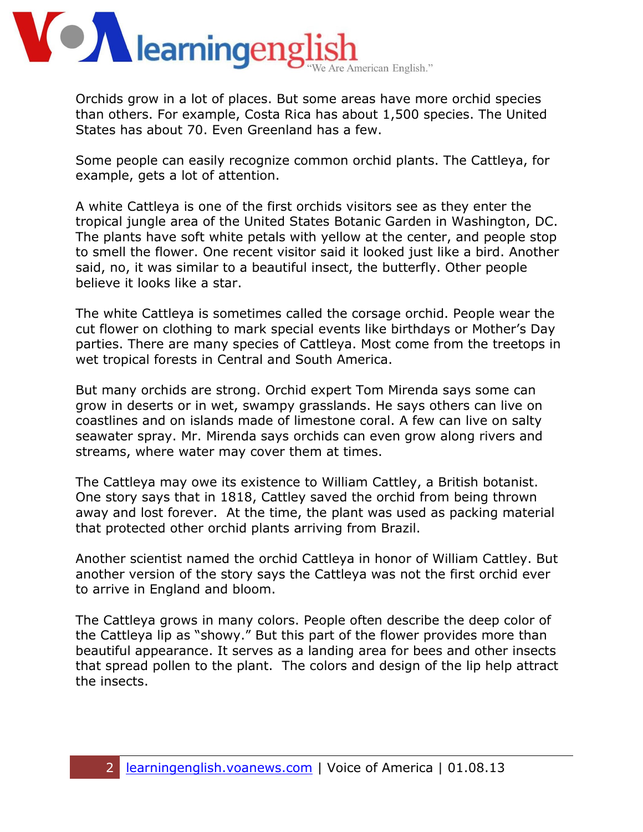

Orchids grow in a lot of places. But some areas have more orchid species than others. For example, Costa Rica has about 1,500 species. The United States has about 70. Even Greenland has a few.

Some people can easily recognize common orchid plants. The Cattleya, for example, gets a lot of attention.

A white Cattleya is one of the first orchids visitors see as they enter the tropical jungle area of the United States Botanic Garden in Washington, DC. The plants have soft white petals with yellow at the center, and people stop to smell the flower. One recent visitor said it looked just like a bird. Another said, no, it was similar to a beautiful insect, the butterfly. Other people believe it looks like a star.

The white Cattleya is sometimes called the corsage orchid. People wear the cut flower on clothing to mark special events like birthdays or Mother's Day parties. There are many species of Cattleya. Most come from the treetops in wet tropical forests in Central and South America.

But many orchids are strong. Orchid expert Tom Mirenda says some can grow in deserts or in wet, swampy grasslands. He says others can live on coastlines and on islands made of limestone coral. A few can live on salty seawater spray. Mr. Mirenda says orchids can even grow along rivers and streams, where water may cover them at times.

The Cattleya may owe its existence to William Cattley, a British botanist. One story says that in 1818, Cattley saved the orchid from being thrown away and lost forever. At the time, the plant was used as packing material that protected other orchid plants arriving from Brazil.

Another scientist named the orchid Cattleya in honor of William Cattley. But another version of the story says the Cattleya was not the first orchid ever to arrive in England and bloom.

The Cattleya grows in many colors. People often describe the deep color of the Cattleya lip as "showy." But this part of the flower provides more than beautiful appearance. It serves as a landing area for bees and other insects that spread pollen to the plant. The colors and design of the lip help attract the insects.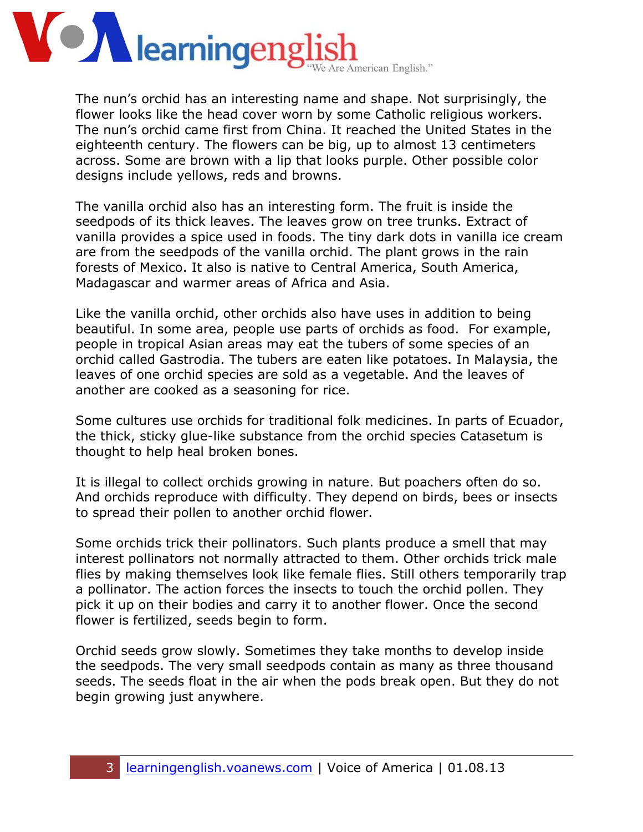

The nun's orchid has an interesting name and shape. Not surprisingly, the flower looks like the head cover worn by some Catholic religious workers. The nun's orchid came first from China. It reached the United States in the eighteenth century. The flowers can be big, up to almost 13 centimeters across. Some are brown with a lip that looks purple. Other possible color designs include yellows, reds and browns.

The vanilla orchid also has an interesting form. The fruit is inside the seedpods of its thick leaves. The leaves grow on tree trunks. Extract of vanilla provides a spice used in foods. The tiny dark dots in vanilla ice cream are from the seedpods of the vanilla orchid. The plant grows in the rain forests of Mexico. It also is native to Central America, South America, Madagascar and warmer areas of Africa and Asia.

Like the vanilla orchid, other orchids also have uses in addition to being beautiful. In some area, people use parts of orchids as food. For example, people in tropical Asian areas may eat the tubers of some species of an orchid called Gastrodia. The tubers are eaten like potatoes. In Malaysia, the leaves of one orchid species are sold as a vegetable. And the leaves of another are cooked as a seasoning for rice.

Some cultures use orchids for traditional folk medicines. In parts of Ecuador, the thick, sticky glue-like substance from the orchid species Catasetum is thought to help heal broken bones.

It is illegal to collect orchids growing in nature. But poachers often do so. And orchids reproduce with difficulty. They depend on birds, bees or insects to spread their pollen to another orchid flower.

Some orchids trick their pollinators. Such plants produce a smell that may interest pollinators not normally attracted to them. Other orchids trick male flies by making themselves look like female flies. Still others temporarily trap a pollinator. The action forces the insects to touch the orchid pollen. They pick it up on their bodies and carry it to another flower. Once the second flower is fertilized, seeds begin to form.

Orchid seeds grow slowly. Sometimes they take months to develop inside the seedpods. The very small seedpods contain as many as three thousand seeds. The seeds float in the air when the pods break open. But they do not begin growing just anywhere.